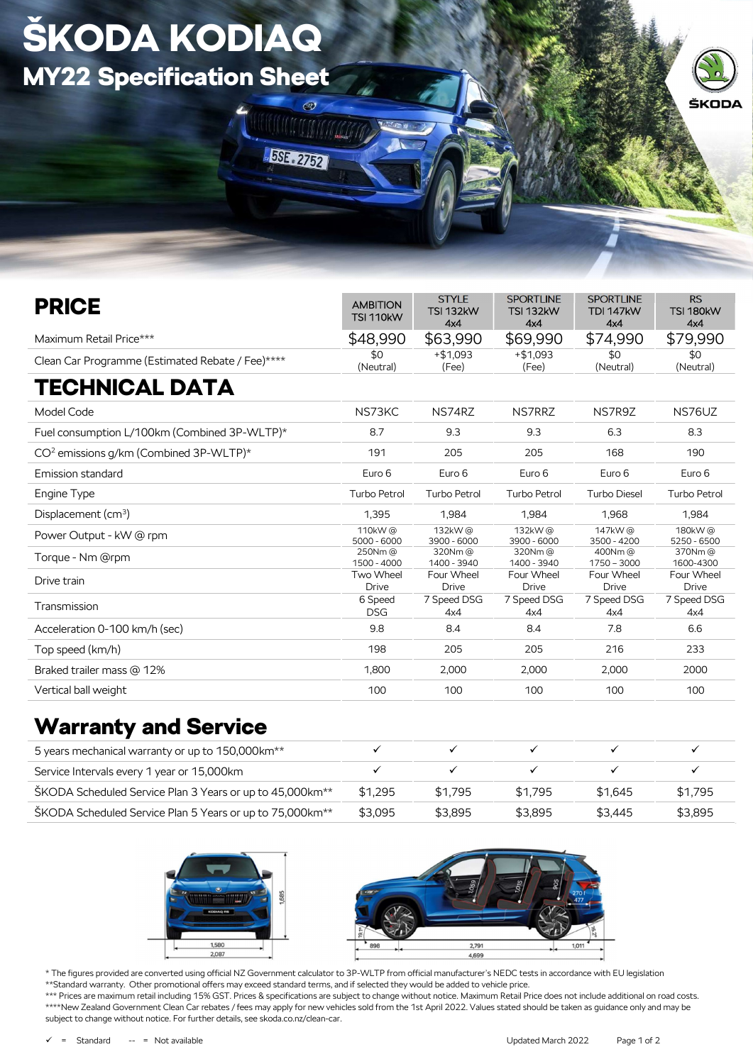## ŠKODA KODIAQ MY22 Specification Sheet

ä



| <b>PRICE</b>                                       | <b>AMBITION</b><br><b>TSI 110kW</b> | <b>STYLE</b><br><b>TSI 132kW</b><br>4x4 | <b>SPORTLINE</b><br><b>TSI 132kW</b><br>4x4 | <b>SPORTLINE</b><br><b>TDI 147kW</b><br>4x4 | <b>RS</b><br><b>TSI 180kW</b><br>4x4 |
|----------------------------------------------------|-------------------------------------|-----------------------------------------|---------------------------------------------|---------------------------------------------|--------------------------------------|
| Maximum Retail Price***                            | \$48,990                            | \$63,990                                | \$69,990                                    | \$74,990                                    | \$79,990                             |
| Clean Car Programme (Estimated Rebate / Fee)****   | \$0<br>(Neutral)                    | $+$ \$1.093<br>(Fee)                    | $+ $1.093$<br>(Fee)                         | \$0<br>(Neutral)                            | \$0<br>(Neutral)                     |
| <b>TECHNICAL DATA</b>                              |                                     |                                         |                                             |                                             |                                      |
| Model Code                                         | NS73KC                              | NS74RZ                                  | NS7RRZ                                      | NS7R9Z                                      | NS76UZ                               |
| Fuel consumption L/100km (Combined 3P-WLTP)*       | 8.7                                 | 9.3                                     | 9.3                                         | 6.3                                         | 8.3                                  |
| CO <sup>2</sup> emissions g/km (Combined 3P-WLTP)* | 191                                 | 205                                     | 205                                         | 168                                         | 190                                  |
| Emission standard                                  | Euro 6                              | Euro 6                                  | Euro 6                                      | Euro 6                                      | Euro 6                               |
| Engine Type                                        | Turbo Petrol                        | <b>Turbo Petrol</b>                     | Turbo Petrol                                | <b>Turbo Diesel</b>                         | <b>Turbo Petrol</b>                  |
| Displacement (cm <sup>3</sup> )                    | 1,395                               | 1.984                                   | 1,984                                       | 1,968                                       | 1,984                                |
| Power Output - kW @ rpm                            | 110kW@<br>$5000 - 6000$             | 132kW@<br>$3900 - 6000$                 | 132kW@<br>$3900 - 6000$                     | 147kW@<br>$3500 - 4200$                     | 180kW@<br>5250 - 6500                |
| Torque - Nm @rpm                                   | 250Nm@<br>1500 - 4000               | 320Nm@<br>1400 - 3940                   | 320Nm@<br>1400 - 3940                       | 400Nm@<br>$1750 - 3000$                     | 370Nm@<br>1600-4300                  |
| Drive train                                        | Two Wheel<br><b>Drive</b>           | Four Wheel<br><b>Drive</b>              | Four Wheel<br><b>Drive</b>                  | Four Wheel<br><b>Drive</b>                  | Four Wheel<br><b>Drive</b>           |
| Transmission                                       | 6 Speed<br><b>DSG</b>               | 7 Speed DSG<br>4x4                      | 7 Speed DSG<br>4x4                          | 7 Speed DSG<br>4x4                          | 7 Speed DSG<br>4x4                   |
| Acceleration 0-100 km/h (sec)                      | 9.8                                 | 8.4                                     | 8.4                                         | 7.8                                         | 6.6                                  |
| Top speed (km/h)                                   | 198                                 | 205                                     | 205                                         | 216                                         | 233                                  |
| Braked trailer mass @ 12%                          | 1,800                               | 2,000                                   | 2,000                                       | 2,000                                       | 2000                                 |
| Vertical ball weight                               | 100                                 | 100                                     | 100                                         | 100                                         | 100                                  |

**MANTANALI** 

**BSE 2752** 

## Warranty and Service

| 5 years mechanical warranty or up to 150,000 km <sup>**</sup>         |         |         |         |         |         |
|-----------------------------------------------------------------------|---------|---------|---------|---------|---------|
| Service Intervals every 1 year or 15,000 km                           |         |         |         |         |         |
| ŠKODA Scheduled Service Plan 3 Years or up to 45,000km <sup>**</sup>  | \$1.295 | \$1.795 | \$1.795 | \$1.645 | \$1.795 |
| SKODA Scheduled Service Plan 5 Years or up to 75,000 km <sup>**</sup> | \$3.095 | \$3.895 | \$3.895 | \$3.445 | \$3.895 |





\* The figures provided are converted using official NZ Government calculator to 3P-WLTP from official manufacturer's NEDC tests in accordance with EU legislation \*\*Standard warranty. Other promotional offers may exceed standard terms, and if selected they would be added to vehicle price. \*\*\* Prices are maximum retail including 15% GST. Prices & specifications are subject to change without notice. Maximum Retail Price does not include additional on road costs. \*\*\*\*New Zealand Government Clean Car rebates / fees may apply for new vehicles sold from the 1st April 2022. Values stated should be taken as guidance only and may be subject to change without notice. For further details, see skoda.co.nz/clean-car.